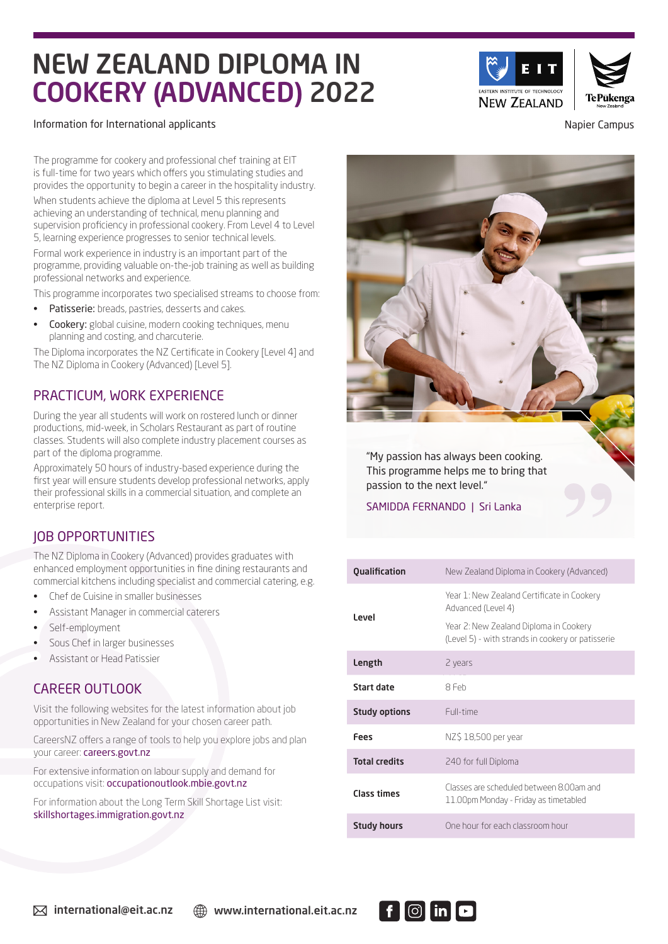# NEW ZEALAND DIPLOMA IN COOKERY (ADVANCED) 2022

### Information for International applicants **Napier Campus** Napier Campus

The programme for cookery and professional chef training at EIT is full-time for two years which offers you stimulating studies and provides the opportunity to begin a career in the hospitality industry.

When students achieve the diploma at Level 5 this represents achieving an understanding of technical, menu planning and supervision proficiency in professional cookery. From Level 4 to Level 5, learning experience progresses to senior technical levels.

Formal work experience in industry is an important part of the programme, providing valuable on-the-job training as well as building professional networks and experience.

This programme incorporates two specialised streams to choose from:

- Patisserie: breads, pastries, desserts and cakes.
- Cookery: global cuisine, modern cooking techniques, menu planning and costing, and charcuterie.

The Diploma incorporates the NZ Certificate in Cookery [Level 4] and The NZ Diploma in Cookery (Advanced) [Level 5].

## PRACTICUM, WORK EXPERIENCE

During the year all students will work on rostered lunch or dinner productions, mid-week, in Scholars Restaurant as part of routine classes. Students will also complete industry placement courses as part of the diploma programme.

Approximately 50 hours of industry-based experience during the first year will ensure students develop professional networks, apply their professional skills in a commercial situation, and complete an enterprise report.

# JOB OPPORTUNITIES

The NZ Diploma in Cookery (Advanced) provides graduates with enhanced employment opportunities in fine dining restaurants and commercial kitchens including specialist and commercial catering, e.g.

- Chef de Cuisine in smaller businesses
- Assistant Manager in commercial caterers
- Self-employment
- Sous Chef in larger businesses
- Assistant or Head Patissier

## CAREER OUTLOOK

Visit the following websites for the latest information about job opportunities in New Zealand for your chosen career path.

CareersNZ offers a range of tools to help you explore jobs and plan your career: careers.govt.nz

For extensive information on labour supply and demand for occupations visit: occupationoutlook.mbie.govt.nz

For information about the Long Term Skill Shortage List visit: skillshortages.immigration.govt.nz



| <b>Qualification</b> | New Zealand Diploma in Cookery (Advanced)                                                   |  |
|----------------------|---------------------------------------------------------------------------------------------|--|
| Level                | Year 1: New Zealand Certificate in Cookery<br>Advanced (Level 4)                            |  |
|                      | Year 2: New Zealand Diploma in Cookery<br>(Level 5) - with strands in cookery or patisserie |  |
| Length               | 2 years                                                                                     |  |
| <b>Start date</b>    | 8 Feb                                                                                       |  |
| <b>Study options</b> | Full-time                                                                                   |  |
| Fees                 | NZ\$ 18,500 per year                                                                        |  |
| <b>Total credits</b> | 240 for full Diploma                                                                        |  |
| Class times          | Classes are scheduled between 8.00am and<br>11.00pm Monday - Friday as timetabled           |  |
| <b>Study hours</b>   | One hour for each classroom hour                                                            |  |



**NEW ZEALAND** 

Te Pūkenoa